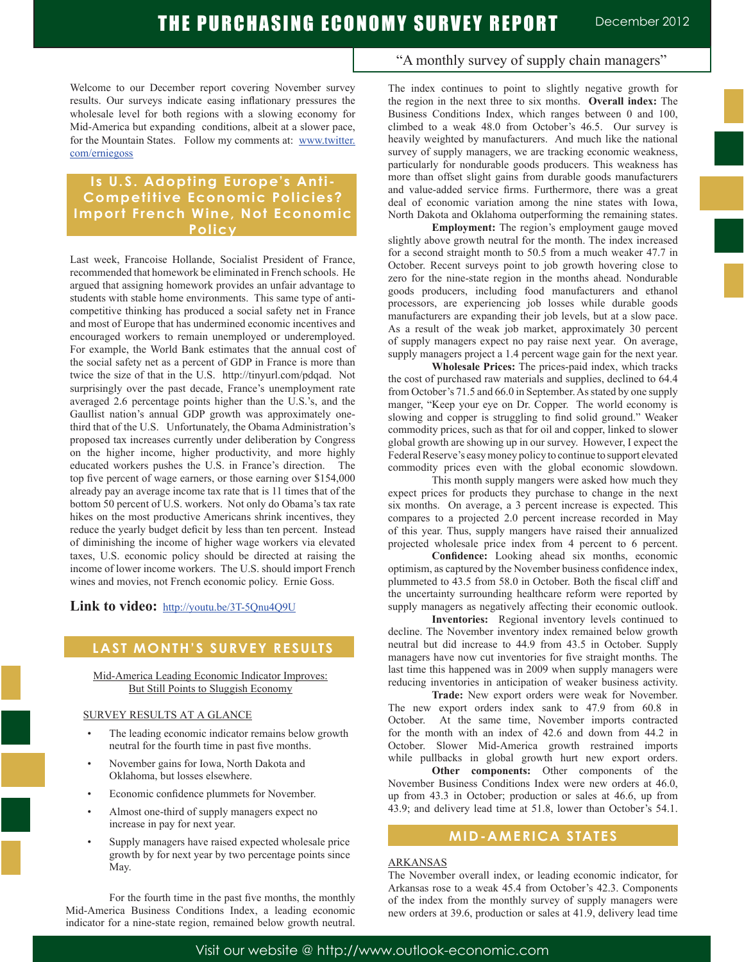Welcome to our December report covering November survey results. Our surveys indicate easing inflationary pressures the wholesale level for both regions with a slowing economy for Mid-America but expanding conditions, albeit at a slower pace, for the Mountain States. Follow my comments at: www.twitter. com/erniegoss

## **Is U.S. Adopting Europe's Anti-Competitive Economic Policies? Import French Wine, Not Economic Policy**

Last week, Francoise Hollande, Socialist President of France, recommended that homework be eliminated in French schools. He argued that assigning homework provides an unfair advantage to students with stable home environments. This same type of anticompetitive thinking has produced a social safety net in France and most of Europe that has undermined economic incentives and encouraged workers to remain unemployed or underemployed. For example, the World Bank estimates that the annual cost of the social safety net as a percent of GDP in France is more than twice the size of that in the U.S. http://tinyurl.com/pdqad. Not surprisingly over the past decade, France's unemployment rate averaged 2.6 percentage points higher than the U.S.'s, and the Gaullist nation's annual GDP growth was approximately onethird that of the U.S. Unfortunately, the Obama Administration's proposed tax increases currently under deliberation by Congress on the higher income, higher productivity, and more highly educated workers pushes the U.S. in France's direction. The top five percent of wage earners, or those earning over \$154,000 already pay an average income tax rate that is 11 times that of the bottom 50 percent of U.S. workers. Not only do Obama's tax rate hikes on the most productive Americans shrink incentives, they reduce the yearly budget deficit by less than ten percent. Instead of diminishing the income of higher wage workers via elevated taxes, U.S. economic policy should be directed at raising the income of lower income workers. The U.S. should import French wines and movies, not French economic policy. Ernie Goss.

Link to video: http://youtu.be/3T-5Onu4O9U

# **LAST MONTH'S SURVEY RESULTS**

Mid-America Leading Economic Indicator Improves: But Still Points to Sluggish Economy

### SURVEY RESULTS AT A GLANCE

- The leading economic indicator remains below growth neutral for the fourth time in past five months.
- November gains for Iowa, North Dakota and Oklahoma, but losses elsewhere.
- Economic confidence plummets for November.
- Almost one-third of supply managers expect no increase in pay for next year.
- Supply managers have raised expected wholesale price growth by for next year by two percentage points since May.

 For the fourth time in the past five months, the monthly Mid-America Business Conditions Index, a leading economic indicator for a nine-state region, remained below growth neutral.

### "A monthly survey of supply chain managers"

The index continues to point to slightly negative growth for the region in the next three to six months. **Overall index:** The Business Conditions Index, which ranges between 0 and 100, climbed to a weak 48.0 from October's 46.5. Our survey is heavily weighted by manufacturers. And much like the national survey of supply managers, we are tracking economic weakness, particularly for nondurable goods producers. This weakness has more than offset slight gains from durable goods manufacturers and value-added service firms. Furthermore, there was a great deal of economic variation among the nine states with Iowa, North Dakota and Oklahoma outperforming the remaining states.

**Employment:** The region's employment gauge moved slightly above growth neutral for the month. The index increased for a second straight month to 50.5 from a much weaker 47.7 in October. Recent surveys point to job growth hovering close to zero for the nine-state region in the months ahead. Nondurable goods producers, including food manufacturers and ethanol processors, are experiencing job losses while durable goods manufacturers are expanding their job levels, but at a slow pace. As a result of the weak job market, approximately 30 percent of supply managers expect no pay raise next year. On average, supply managers project a 1.4 percent wage gain for the next year.

**Wholesale Prices:** The prices-paid index, which tracks the cost of purchased raw materials and supplies, declined to 64.4 from October's 71.5 and 66.0 in September. As stated by one supply manger, "Keep your eye on Dr. Copper. The world economy is slowing and copper is struggling to find solid ground." Weaker commodity prices, such as that for oil and copper, linked to slower global growth are showing up in our survey. However, I expect the Federal Reserve's easy money policy to continue to support elevated commodity prices even with the global economic slowdown.

 This month supply mangers were asked how much they expect prices for products they purchase to change in the next six months. On average, a 3 percent increase is expected. This compares to a projected 2.0 percent increase recorded in May of this year. Thus, supply mangers have raised their annualized projected wholesale price index from 4 percent to 6 percent.

**Confidence:** Looking ahead six months, economic optimism, as captured by the November business confidence index, plummeted to 43.5 from 58.0 in October. Both the fiscal cliff and the uncertainty surrounding healthcare reform were reported by supply managers as negatively affecting their economic outlook.

**Inventories:** Regional inventory levels continued to decline. The November inventory index remained below growth neutral but did increase to 44.9 from 43.5 in October. Supply managers have now cut inventories for five straight months. The last time this happened was in 2009 when supply managers were reducing inventories in anticipation of weaker business activity.

**Trade:** New export orders were weak for November. The new export orders index sank to 47.9 from 60.8 in October. At the same time, November imports contracted for the month with an index of 42.6 and down from 44.2 in October. Slower Mid-America growth restrained imports while pullbacks in global growth hurt new export orders.

**Other components:** Other components of the November Business Conditions Index were new orders at 46.0, up from 43.3 in October; production or sales at 46.6, up from 43.9; and delivery lead time at 51.8, lower than October's 54.1.

# **MID-AMERICA STATES**

### ARKANSAS

The November overall index, or leading economic indicator, for Arkansas rose to a weak 45.4 from October's 42.3. Components of the index from the monthly survey of supply managers were new orders at 39.6, production or sales at 41.9, delivery lead time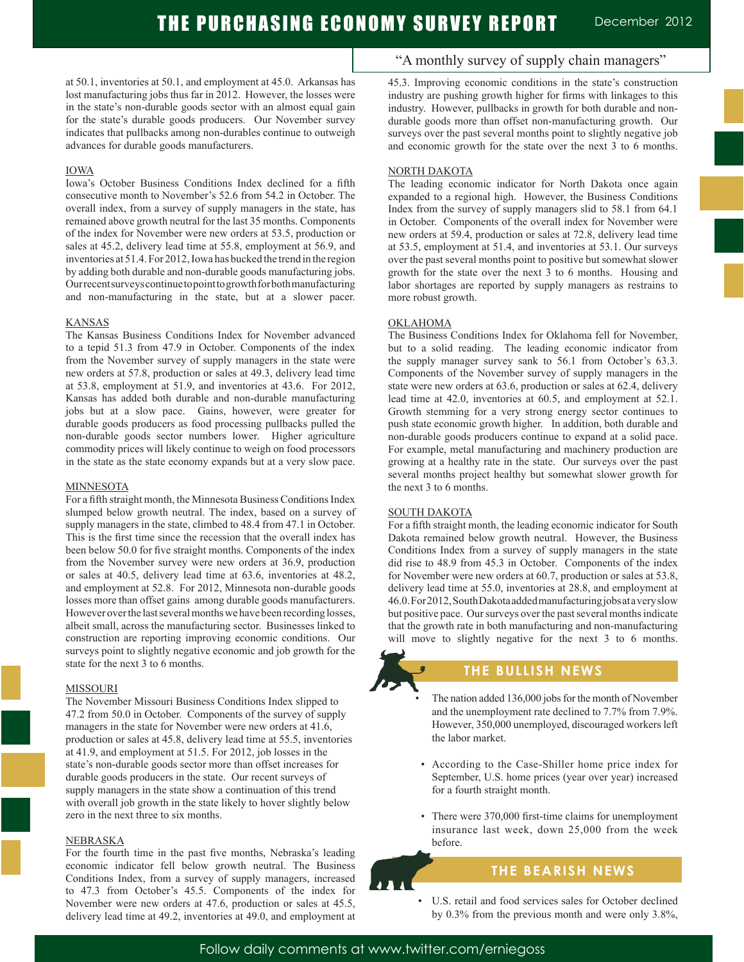at 50.1, inventories at 50.1, and employment at 45.0. Arkansas has lost manufacturing jobs thus far in 2012. However, the losses were in the state's non-durable goods sector with an almost equal gain for the state's durable goods producers. Our November survey indicates that pullbacks among non-durables continue to outweigh advances for durable goods manufacturers.

#### IOWA

Iowa's October Business Conditions Index declined for a fifth consecutive month to November's 52.6 from 54.2 in October. The overall index, from a survey of supply managers in the state, has remained above growth neutral for the last 35 months. Components of the index for November were new orders at 53.5, production or sales at 45.2, delivery lead time at 55.8, employment at 56.9, and inventories at 51.4. For 2012, Iowa has bucked the trend in the region by adding both durable and non-durable goods manufacturing jobs. Our recent surveys continue to point to growth for both manufacturing and non-manufacturing in the state, but at a slower pacer.

#### KANSAS

The Kansas Business Conditions Index for November advanced to a tepid 51.3 from 47.9 in October. Components of the index from the November survey of supply managers in the state were new orders at 57.8, production or sales at 49.3, delivery lead time at 53.8, employment at 51.9, and inventories at 43.6. For 2012, Kansas has added both durable and non-durable manufacturing jobs but at a slow pace. Gains, however, were greater for durable goods producers as food processing pullbacks pulled the non-durable goods sector numbers lower. Higher agriculture commodity prices will likely continue to weigh on food processors in the state as the state economy expands but at a very slow pace.

#### **MINNESOTA**

For a fifth straight month, the Minnesota Business Conditions Index slumped below growth neutral. The index, based on a survey of supply managers in the state, climbed to 48.4 from 47.1 in October. This is the first time since the recession that the overall index has been below 50.0 for five straight months. Components of the index from the November survey were new orders at 36.9, production or sales at 40.5, delivery lead time at 63.6, inventories at 48.2, and employment at 52.8. For 2012, Minnesota non-durable goods losses more than offset gains among durable goods manufacturers. However over the last several months we have been recording losses, albeit small, across the manufacturing sector. Businesses linked to construction are reporting improving economic conditions. Our surveys point to slightly negative economic and job growth for the state for the next 3 to 6 months.

#### MISSOURI

The November Missouri Business Conditions Index slipped to 47.2 from 50.0 in October. Components of the survey of supply managers in the state for November were new orders at 41.6, production or sales at 45.8, delivery lead time at 55.5, inventories at 41.9, and employment at 51.5. For 2012, job losses in the state's non-durable goods sector more than offset increases for durable goods producers in the state. Our recent surveys of supply managers in the state show a continuation of this trend with overall job growth in the state likely to hover slightly below zero in the next three to six months.

#### NEBRASKA

For the fourth time in the past five months, Nebraska's leading economic indicator fell below growth neutral. The Business Conditions Index, from a survey of supply managers, increased to 47.3 from October's 45.5. Components of the index for November were new orders at 47.6, production or sales at 45.5, delivery lead time at 49.2, inventories at 49.0, and employment at

### "A monthly survey of supply chain managers"

45.3. Improving economic conditions in the state's construction industry are pushing growth higher for firms with linkages to this industry. However, pullbacks in growth for both durable and nondurable goods more than offset non-manufacturing growth. Our surveys over the past several months point to slightly negative job and economic growth for the state over the next 3 to 6 months.

#### NORTH DAKOTA

The leading economic indicator for North Dakota once again expanded to a regional high. However, the Business Conditions Index from the survey of supply managers slid to 58.1 from 64.1 in October. Components of the overall index for November were new orders at 59.4, production or sales at 72.8, delivery lead time at 53.5, employment at 51.4, and inventories at 53.1. Our surveys over the past several months point to positive but somewhat slower growth for the state over the next 3 to 6 months. Housing and labor shortages are reported by supply managers as restrains to more robust growth.

#### OKLAHOMA

The Business Conditions Index for Oklahoma fell for November, but to a solid reading. The leading economic indicator from the supply manager survey sank to 56.1 from October's 63.3. Components of the November survey of supply managers in the state were new orders at 63.6, production or sales at 62.4, delivery lead time at 42.0, inventories at 60.5, and employment at 52.1. Growth stemming for a very strong energy sector continues to push state economic growth higher. In addition, both durable and non-durable goods producers continue to expand at a solid pace. For example, metal manufacturing and machinery production are growing at a healthy rate in the state. Our surveys over the past several months project healthy but somewhat slower growth for the next 3 to 6 months.

#### SOUTH DAKOTA

For a fifth straight month, the leading economic indicator for South Dakota remained below growth neutral. However, the Business Conditions Index from a survey of supply managers in the state did rise to 48.9 from 45.3 in October. Components of the index for November were new orders at 60.7, production or sales at 53.8, delivery lead time at 55.0, inventories at 28.8, and employment at 46.0. For 2012, South Dakota added manufacturing jobs at a very slow but positive pace. Our surveys over the past several months indicate that the growth rate in both manufacturing and non-manufacturing will move to slightly negative for the next 3 to 6 months.



# **THE BULLISH NEWS**

The nation added 136,000 jobs for the month of November and the unemployment rate declined to 7.7% from 7.9%. However, 350,000 unemployed, discouraged workers left the labor market.

- According to the Case-Shiller home price index for September, U.S. home prices (year over year) increased for a fourth straight month.
- There were 370,000 first-time claims for unemployment insurance last week, down 25,000 from the week before.

### **THE BEARISH NEWS**

 • U.S. retail and food services sales for October declined by 0.3% from the previous month and were only 3.8%,

l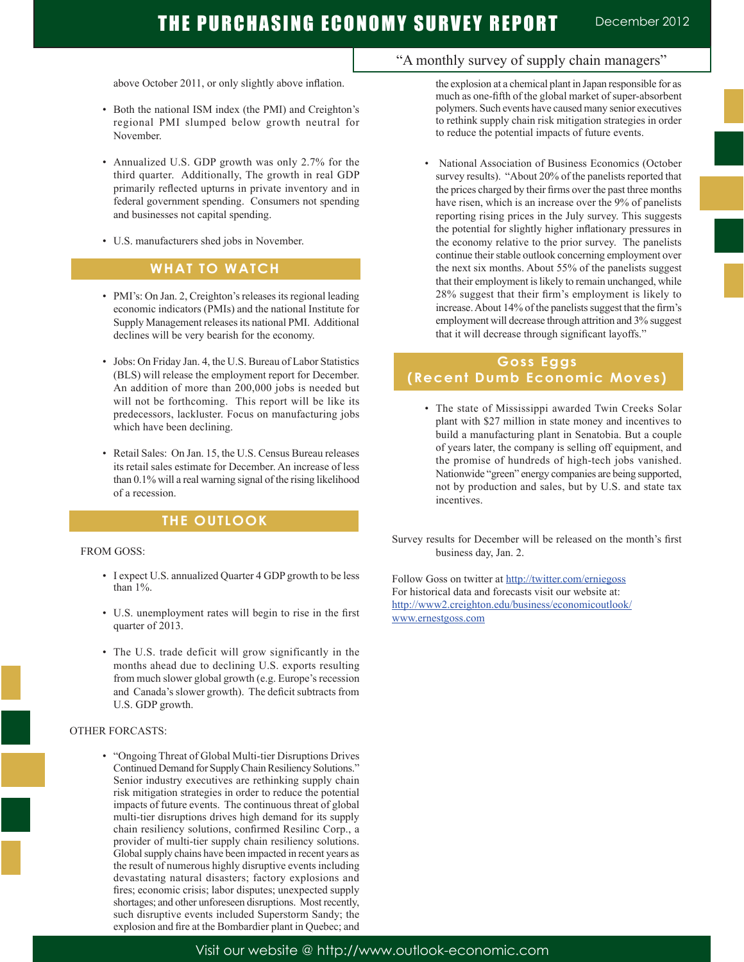above October 2011, or only slightly above inflation.

- Both the national ISM index (the PMI) and Creighton's regional PMI slumped below growth neutral for November.
- Annualized U.S. GDP growth was only 2.7% for the third quarter. Additionally, The growth in real GDP primarily reflected upturns in private inventory and in federal government spending. Consumers not spending and businesses not capital spending.
- U.S. manufacturers shed jobs in November.

### **WHAT TO WATCH**

- PMI's: On Jan. 2, Creighton's releases its regional leading economic indicators (PMIs) and the national Institute for Supply Management releases its national PMI. Additional declines will be very bearish for the economy.
- Jobs: On Friday Jan. 4, the U.S. Bureau of Labor Statistics (BLS) will release the employment report for December. An addition of more than 200,000 jobs is needed but will not be forthcoming. This report will be like its predecessors, lackluster. Focus on manufacturing jobs which have been declining.
- Retail Sales: On Jan. 15, the U.S. Census Bureau releases its retail sales estimate for December. An increase of less than 0.1% will a real warning signal of the rising likelihood of a recession.

### **THE OUTLOOK**

#### FROM GOSS:

j

- I expect U.S. annualized Quarter 4 GDP growth to be less than 1%.
- U.S. unemployment rates will begin to rise in the first quarter of 2013.
- The U.S. trade deficit will grow significantly in the months ahead due to declining U.S. exports resulting from much slower global growth (e.g. Europe's recession and Canada's slower growth). The deficit subtracts from U.S. GDP growth.

#### OTHER FORCASTS:

 • "Ongoing Threat of Global Multi-tier Disruptions Drives Continued Demand for Supply Chain Resiliency Solutions." Senior industry executives are rethinking supply chain risk mitigation strategies in order to reduce the potential impacts of future events. The continuous threat of global multi-tier disruptions drives high demand for its supply chain resiliency solutions, confirmed Resilinc Corp., a provider of multi-tier supply chain resiliency solutions. Global supply chains have been impacted in recent years as the result of numerous highly disruptive events including devastating natural disasters; factory explosions and fires; economic crisis; labor disputes; unexpected supply shortages; and other unforeseen disruptions. Most recently, such disruptive events included Superstorm Sandy; the explosion and fire at the Bombardier plant in Quebec; and

### "A monthly survey of supply chain managers"

the explosion at a chemical plant in Japan responsible for as much as one-fifth of the global market of super-absorbent polymers. Such events have caused many senior executives to rethink supply chain risk mitigation strategies in order to reduce the potential impacts of future events.

 • National Association of Business Economics (October survey results). "About 20% of the panelists reported that the prices charged by their firms over the past three months have risen, which is an increase over the 9% of panelists reporting rising prices in the July survey. This suggests the potential for slightly higher inflationary pressures in the economy relative to the prior survey. The panelists continue their stable outlook concerning employment over the next six months. About 55% of the panelists suggest that their employment is likely to remain unchanged, while 28% suggest that their firm's employment is likely to increase. About 14% of the panelists suggest that the firm's employment will decrease through attrition and 3% suggest that it will decrease through significant layoffs."

## **Goss Eggs (Recent Dumb Economic Moves)**

 • The state of Mississippi awarded Twin Creeks Solar plant with \$27 million in state money and incentives to build a manufacturing plant in Senatobia. But a couple of years later, the company is selling off equipment, and the promise of hundreds of high-tech jobs vanished. Nationwide "green" energy companies are being supported, not by production and sales, but by U.S. and state tax incentives.

Survey results for December will be released on the month's first business day, Jan. 2.

Follow Goss on twitter at http://twitter.com/erniegoss For historical data and forecasts visit our website at: http://www2.creighton.edu/business/economicoutlook/ www.ernestgoss.com